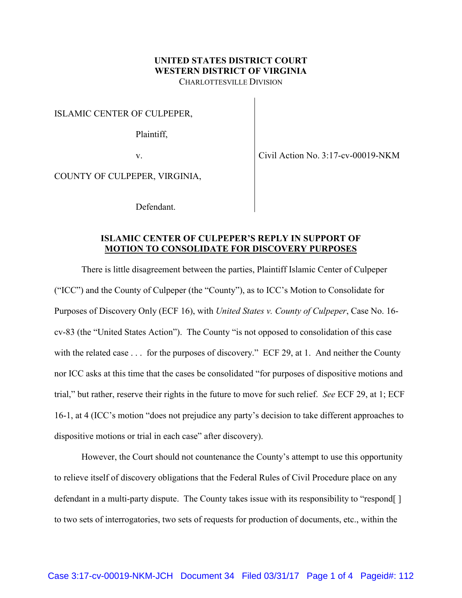## **UNITED STATES DISTRICT COURT WESTERN DISTRICT OF VIRGINIA**

CHARLOTTESVILLE DIVISION

ISLAMIC CENTER OF CULPEPER,

Plaintiff,

v.

Civil Action No. 3:17-cv-00019-NKM

COUNTY OF CULPEPER, VIRGINIA,

Defendant.

## **ISLAMIC CENTER OF CULPEPER'S REPLY IN SUPPORT OF MOTION TO CONSOLIDATE FOR DISCOVERY PURPOSES**

There is little disagreement between the parties, Plaintiff Islamic Center of Culpeper ("ICC") and the County of Culpeper (the "County"), as to ICC's Motion to Consolidate for Purposes of Discovery Only (ECF 16), with *United States v. County of Culpeper*, Case No. 16 cv-83 (the "United States Action"). The County "is not opposed to consolidation of this case with the related case . . . for the purposes of discovery." ECF 29, at 1. And neither the County nor ICC asks at this time that the cases be consolidated "for purposes of dispositive motions and trial," but rather, reserve their rights in the future to move for such relief. *See* ECF 29, at 1; ECF 16-1, at 4 (ICC's motion "does not prejudice any party's decision to take different approaches to dispositive motions or trial in each case" after discovery).

However, the Court should not countenance the County's attempt to use this opportunity to relieve itself of discovery obligations that the Federal Rules of Civil Procedure place on any defendant in a multi-party dispute. The County takes issue with its responsibility to "respond[ ] to two sets of interrogatories, two sets of requests for production of documents, etc., within the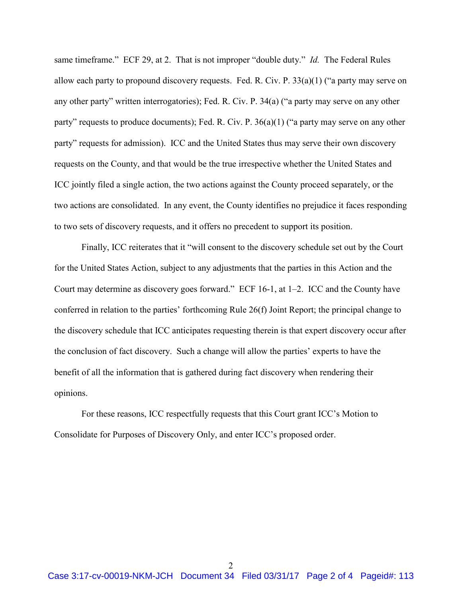same timeframe." ECF 29, at 2. That is not improper "double duty." *Id.* The Federal Rules allow each party to propound discovery requests. Fed. R. Civ. P. 33(a)(1) ("a party may serve on any other party" written interrogatories); Fed. R. Civ. P. 34(a) ("a party may serve on any other party" requests to produce documents); Fed. R. Civ. P. 36(a)(1) ("a party may serve on any other party" requests for admission). ICC and the United States thus may serve their own discovery requests on the County, and that would be the true irrespective whether the United States and ICC jointly filed a single action, the two actions against the County proceed separately, or the two actions are consolidated. In any event, the County identifies no prejudice it faces responding to two sets of discovery requests, and it offers no precedent to support its position.

Finally, ICC reiterates that it "will consent to the discovery schedule set out by the Court for the United States Action, subject to any adjustments that the parties in this Action and the Court may determine as discovery goes forward." ECF 16-1, at 1–2. ICC and the County have conferred in relation to the parties' forthcoming Rule 26(f) Joint Report; the principal change to the discovery schedule that ICC anticipates requesting therein is that expert discovery occur after the conclusion of fact discovery. Such a change will allow the parties' experts to have the benefit of all the information that is gathered during fact discovery when rendering their opinions.

For these reasons, ICC respectfully requests that this Court grant ICC's Motion to Consolidate for Purposes of Discovery Only, and enter ICC's proposed order.

2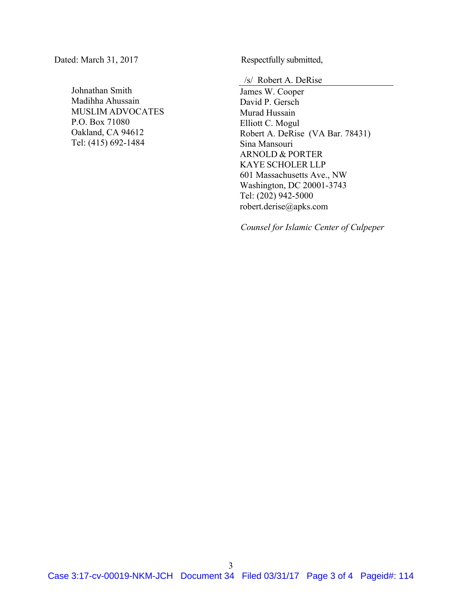Dated: March 31, 2017 Respectfully submitted,

Johnathan Smith Madihha Ahussain MUSLIM ADVOCATES P.O. Box 71080 Oakland, CA 94612 Tel: (415) 692-1484

/s/ Robert A. DeRise

James W. Cooper David P. Gersch Murad Hussain Elliott C. Mogul Robert A. DeRise (VA Bar. 78431) Sina Mansouri ARNOLD & PORTER KAYE SCHOLER LLP 601 Massachusetts Ave., NW Washington, DC 20001-3743 Tel: (202) 942-5000 robert.derise@apks.com

*Counsel for Islamic Center of Culpeper*